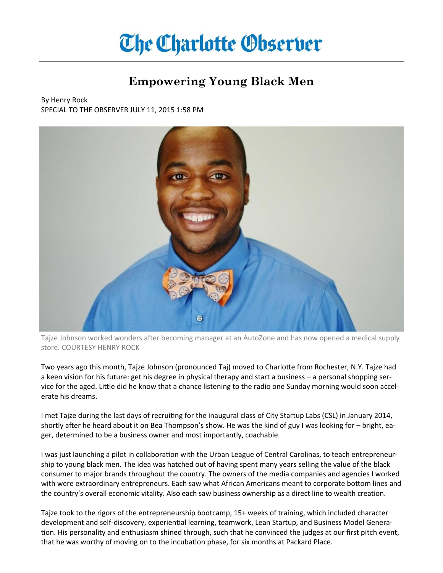## **The Charlotte Observer**

## **Empowering Young Black Men**

By Henry Rock SPECIAL TO THE OBSERVER JULY 11, 2015 1:58 PM



Tajze Johnson worked wonders after becoming manager at an AutoZone and has now opened a medical supply store. COURTESY HENRY ROCK

Two years ago this month, Tajze Johnson (pronounced Taj) moved to Charlotte from Rochester, N.Y. Tajze had a keen vision for his future: get his degree in physical therapy and start a business – a personal shopping service for the aged. Little did he know that a chance listening to the radio one Sunday morning would soon accelerate his dreams.

I met Tajze during the last days of recruiting for the inaugural class of City Startup Labs (CSL) in January 2014, shortly after he heard about it on Bea Thompson's show. He was the kind of guy I was looking for – bright, eager, determined to be a business owner and most importantly, coachable.

I was just launching a pilot in collaboration with the Urban League of Central Carolinas, to teach entrepreneurship to young black men. The idea was hatched out of having spent many years selling the value of the black consumer to major brands throughout the country. The owners of the media companies and agencies I worked with were extraordinary entrepreneurs. Each saw what African Americans meant to corporate bottom lines and the country's overall economic vitality. Also each saw business ownership as a direct line to wealth creation.

Tajze took to the rigors of the entrepreneurship bootcamp, 15+ weeks of training, which included character development and self-discovery, experiential learning, teamwork, Lean Startup, and Business Model Generation. His personality and enthusiasm shined through, such that he convinced the judges at our first pitch event, that he was worthy of moving on to the incubation phase, for six months at Packard Place.